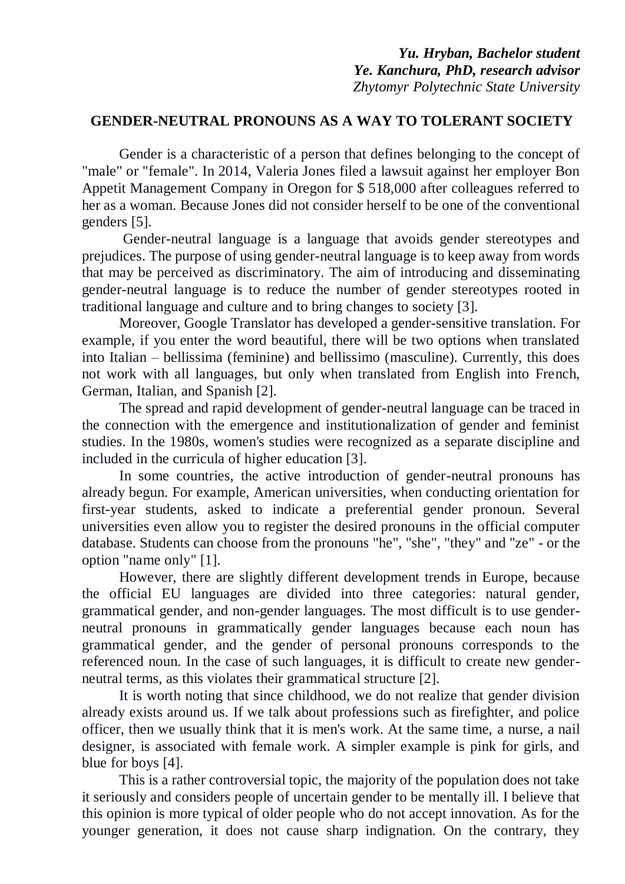## **GENDER-NEUTRAL PRONOUNS AS A WAY TO TOLERANT SOCIETY**

Gender is a characteristic of a person that defines belonging to the concept of "male" or "female". In 2014, Valeria Jones filed a lawsuit against her employer Bon Appetit Management Company in Oregon for \$ 518,000 after colleagues referred to her as a woman. Because Jones did not consider herself to be one of the conventional genders [5].

Gender-neutral language is a language that avoids gender stereotypes and prejudices. The purpose of using gender-neutral language is to keep away from words that may be perceived as discriminatory. The aim of introducing and disseminating gender-neutral language is to reduce the number of gender stereotypes rooted in traditional language and culture and to bring changes to society [3].

Moreover, Google Translator has developed a gender-sensitive translation. For example, if you enter the word beautiful, there will be two options when translated into Italian – bellissima (feminine) and bellissimo (masculine). Currently, this does not work with all languages, but only when translated from English into French, German, Italian, and Spanish [2].

The spread and rapid development of gender-neutral language can be traced in the connection with the emergence and institutionalization of gender and feminist studies. In the 1980s, women's studies were recognized as a separate discipline and included in the curricula of higher education [3].

In some countries, the active introduction of gender-neutral pronouns has already begun. For example, American universities, when conducting orientation for first-year students, asked to indicate a preferential gender pronoun. Several universities even allow you to register the desired pronouns in the official computer database. Students can choose from the pronouns "he", "she", "they" and "ze" - or the option "name only" [1].

However, there are slightly different development trends in Europe, because the official EU languages are divided into three categories: natural gender, grammatical gender, and non-gender languages. The most difficult is to use genderneutral pronouns in grammatically gender languages because each noun has grammatical gender, and the gender of personal pronouns corresponds to the referenced noun. In the case of such languages, it is difficult to create new genderneutral terms, as this violates their grammatical structure [2].

It is worth noting that since childhood, we do not realize that gender division already exists around us. If we talk about professions such as firefighter, and police officer, then we usually think that it is men's work. At the same time, a nurse, a nail designer, is associated with female work. A simpler example is pink for girls, and blue for boys [4].

This is a rather controversial topic, the majority of the population does not take it seriously and considers people of uncertain gender to be mentally ill. I believe that this opinion is more typical of older people who do not accept innovation. As for the younger generation, it does not cause sharp indignation. On the contrary, they